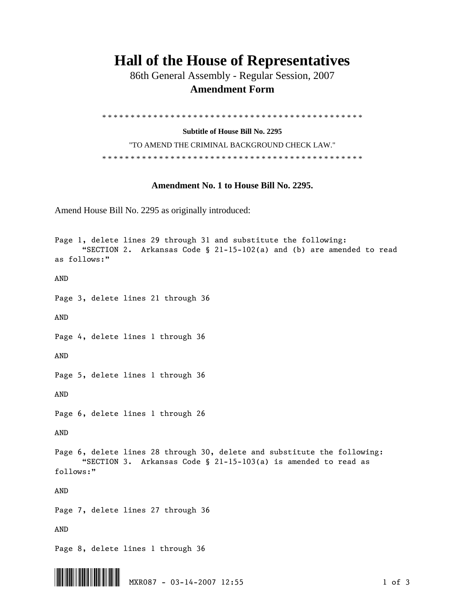## **Hall of the House of Representatives**

 86th General Assembly - Regular Session, 2007  **Amendment Form** 

\* \* \* \* \* \* \* \* \* \* \* \* \* \* \* \* \* \* \* \* \* \* \* \* \* \* \* \* \* \* \* \* \* \* \* \* \* \* \* \* \* \* \* \* \* \*

**Subtitle of House Bill No. 2295** 

"TO AMEND THE CRIMINAL BACKGROUND CHECK LAW." \* \* \* \* \* \* \* \* \* \* \* \* \* \* \* \* \* \* \* \* \* \* \* \* \* \* \* \* \* \* \* \* \* \* \* \* \* \* \* \* \* \* \* \* \* \*

## **Amendment No. 1 to House Bill No. 2295.**

Amend House Bill No. 2295 as originally introduced:

```
Page 1, delete lines 29 through 31 and substitute the following: 
       "SECTION 2. Arkansas Code § 21-15-102(a) and (b) are amended to read 
as follows:" 
AND 
Page 3, delete lines 21 through 36 
AND 
Page 4, delete lines 1 through 36 
AND 
Page 5, delete lines 1 through 36 
AND 
Page 6, delete lines 1 through 26 
AND 
Page 6, delete lines 28 through 30, delete and substitute the following: 
       "SECTION 3. Arkansas Code § 21-15-103(a) is amended to read as 
follows:" 
AND 
Page 7, delete lines 27 through 36 
AND 
Page 8, delete lines 1 through 36
```
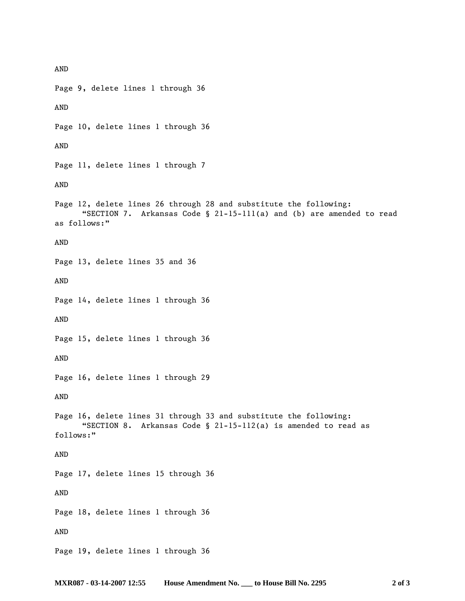AND Page 9, delete lines 1 through 36 AND Page 10, delete lines 1 through 36 AND Page 11, delete lines 1 through 7 AND Page 12, delete lines 26 through 28 and substitute the following: "SECTION 7. Arkansas Code § 21-15-111(a) and (b) are amended to read as follows:" AND Page 13, delete lines 35 and 36 AND Page 14, delete lines 1 through 36 AND Page 15, delete lines 1 through 36 AND Page 16, delete lines 1 through 29 AND Page 16, delete lines 31 through 33 and substitute the following: "SECTION 8. Arkansas Code § 21-15-112(a) is amended to read as follows:" AND Page 17, delete lines 15 through 36 AND Page 18, delete lines 1 through 36 AND Page 19, delete lines 1 through 36